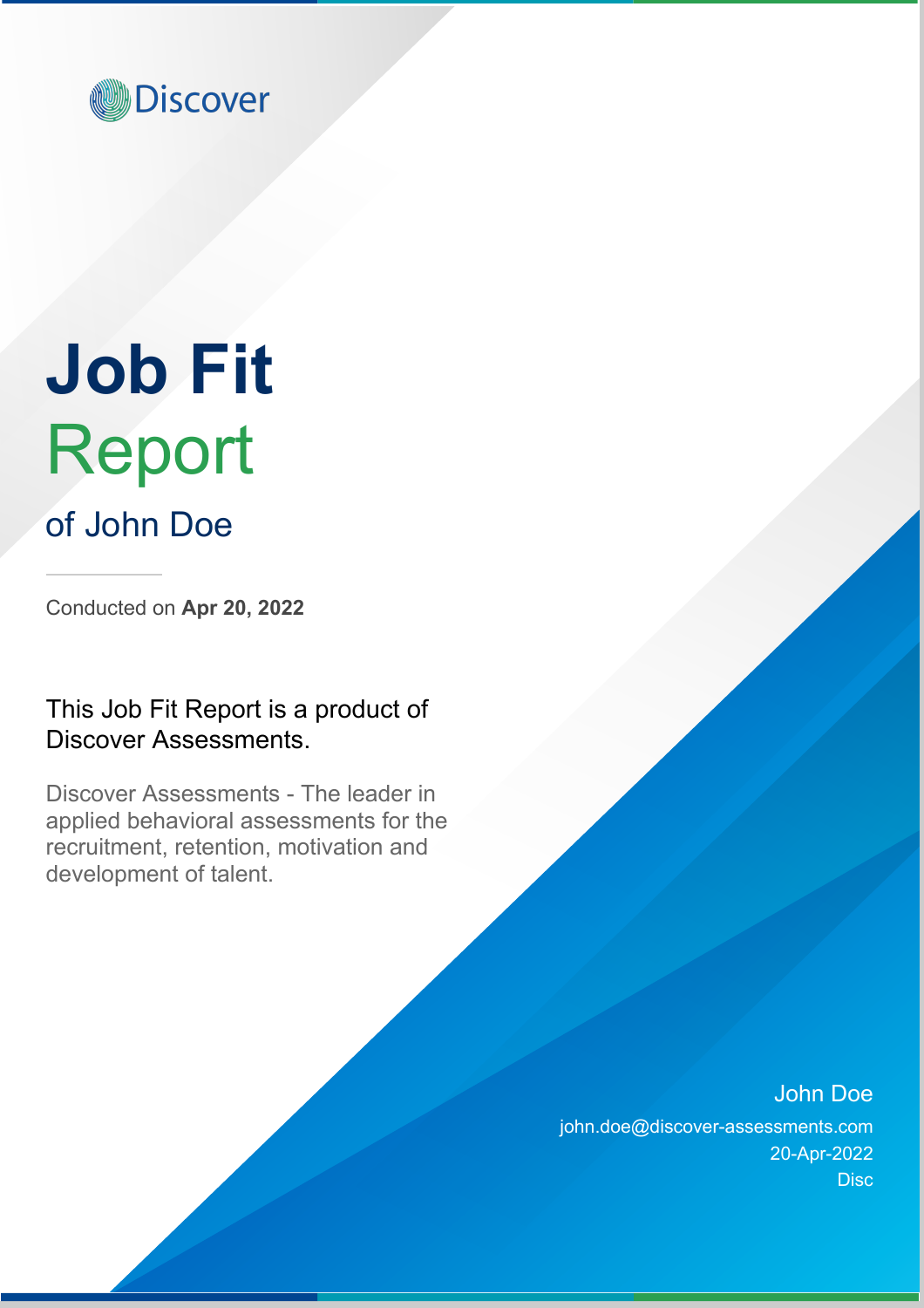

# **Job Fit** Report

## of John Doe

Conducted on **Apr 20, 2022**

## This Job Fit Report is a product of Discover Assessments.

Discover Assessments - The leader in applied behavioral assessments for the recruitment, retention, motivation and development of talent.

### John Doe

john.doe@discover-assessments.com 20-Apr-2022 **Disc**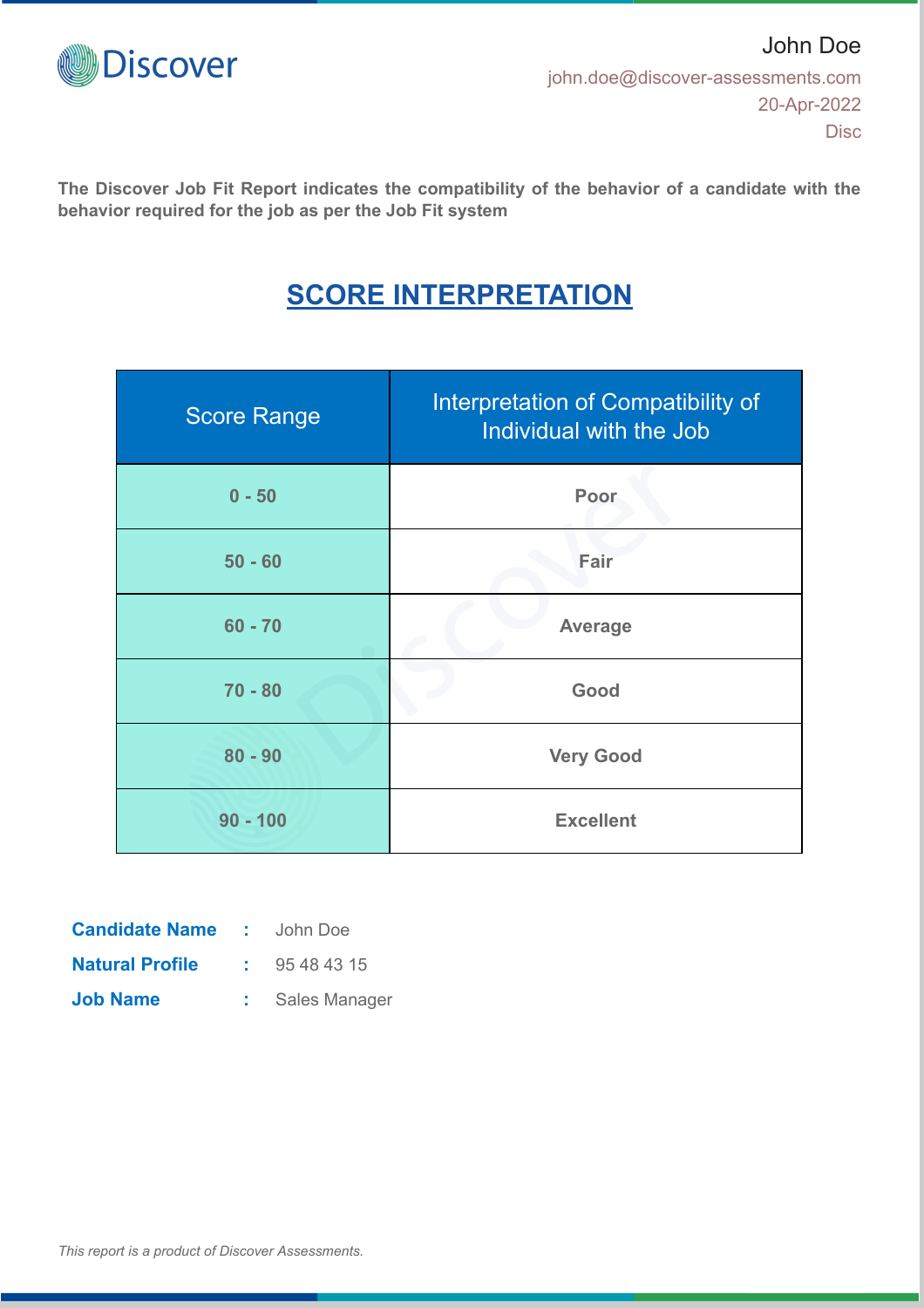

**The Discover Job Fit Report indicates the compatibility of the behavior of a candidate with the behavior required for the job as per the Job Fit system**

## **SCORE INTERPRETATION**

| <b>Score Range</b> | Interpretation of Compatibility of<br>Individual with the Job |  |
|--------------------|---------------------------------------------------------------|--|
| $0 - 50$           | Poor                                                          |  |
| $50 - 60$          | Fair                                                          |  |
| $60 - 70$          | <b>Average</b>                                                |  |
| $70 - 80$          | Good                                                          |  |
| $80 - 90$          | <b>Very Good</b>                                              |  |
| $90 - 100$         | <b>Excellent</b>                                              |  |

| <b>Candidate Name</b>  | <b>CONTRACTOR</b> | John Doe      |
|------------------------|-------------------|---------------|
| <b>Natural Profile</b> |                   | 95 48 43 15   |
| <b>Job Name</b>        |                   | Sales Manager |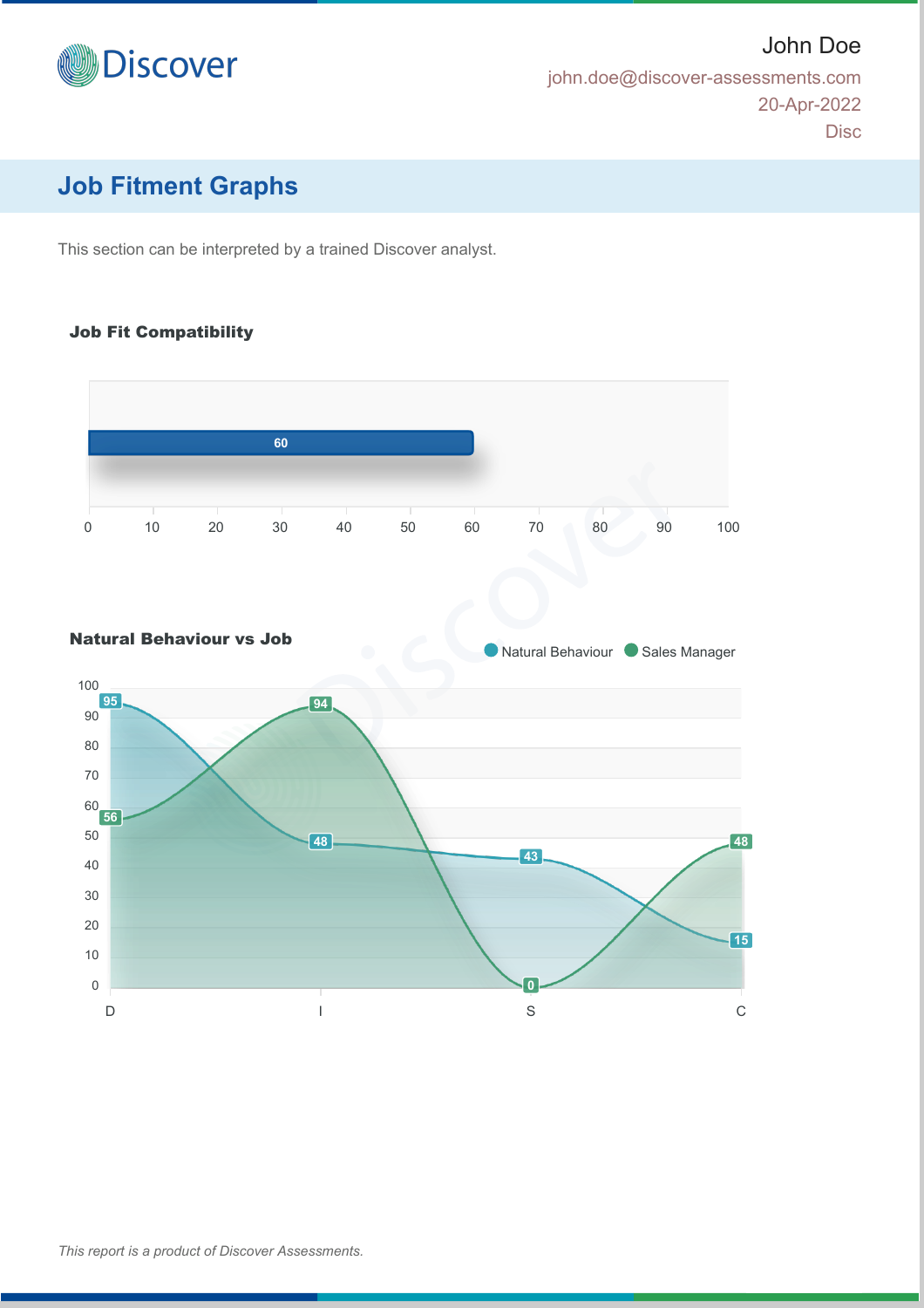

john.doe@discover-assessments.com 20-Apr-2022 Disc

John Doe

## **Job Fitment Graphs**

This section can be interpreted by a trained Discover analyst.

#### Job Fit Compatibility



#### Natural Behaviour vs Job

**Natural Behaviour Cales Manager** 

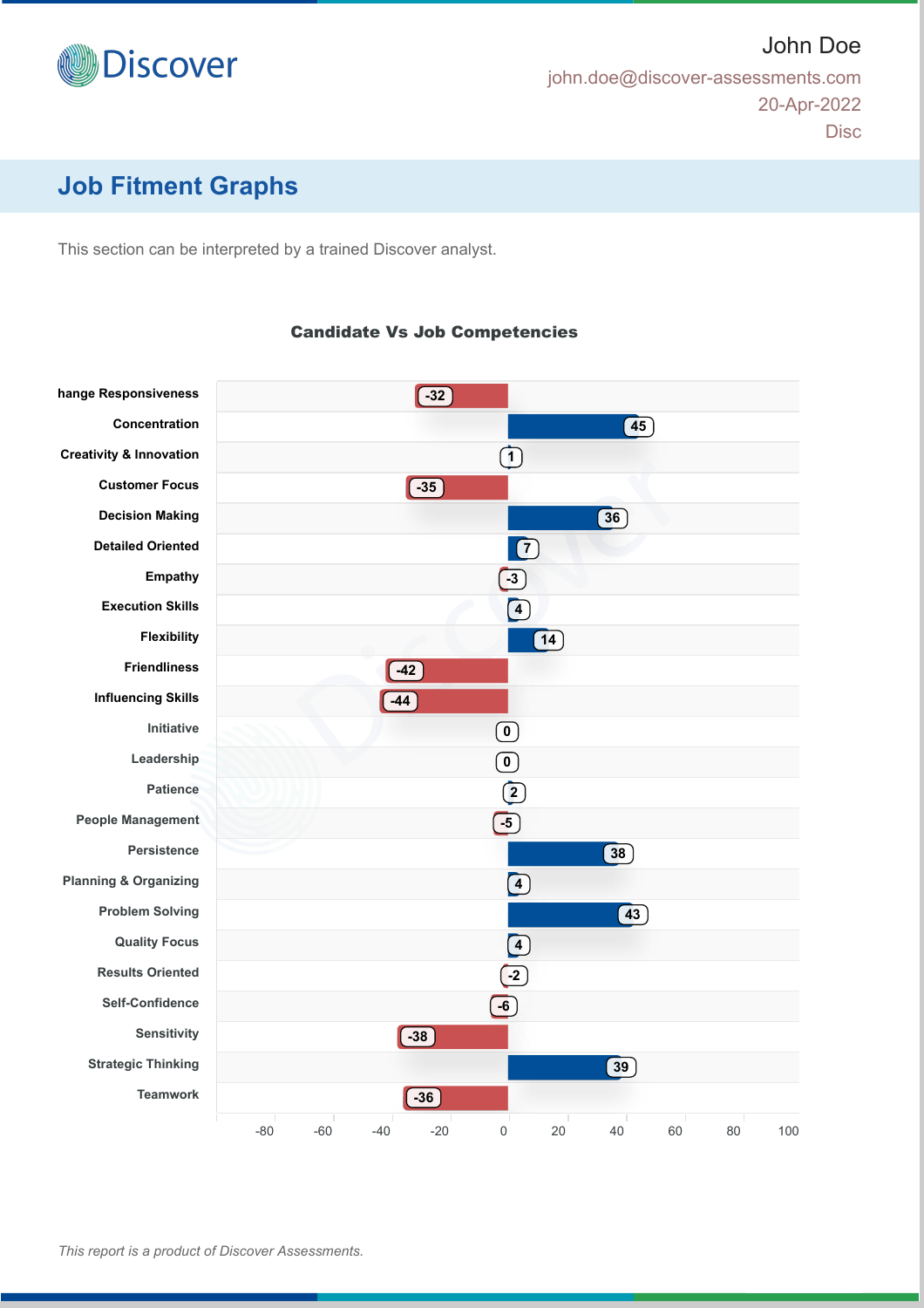

John Doe john.doe@discover-assessments.com 20-Apr-2022 **Disc** 

## **Job Fitment Graphs**

This section can be interpreted by a trained Discover analyst.

#### **hange Responsiveness Concentration Creativity & Innovation Customer Focus Decision Making Detailed Oriented Empathy Execution Skills Flexibility Friendliness Influencing Skills Initiative Leadership Patience People Management Persistence Planning & Organizing Problem Solving Quality Focus Results Oriented Self-Confidence Sensitivity Strategic Thinking Teamwork** -80 -60 -40 -20 0 20 40 60 80 100 **-32 45 1 -35 36**  $\boxed{7}$ **-3 4**  $(14)$ **-42 -44 0 0 2 -5 38 4 43 4 -2 -6 -38 39 -36**

Candidate Vs Job Competencies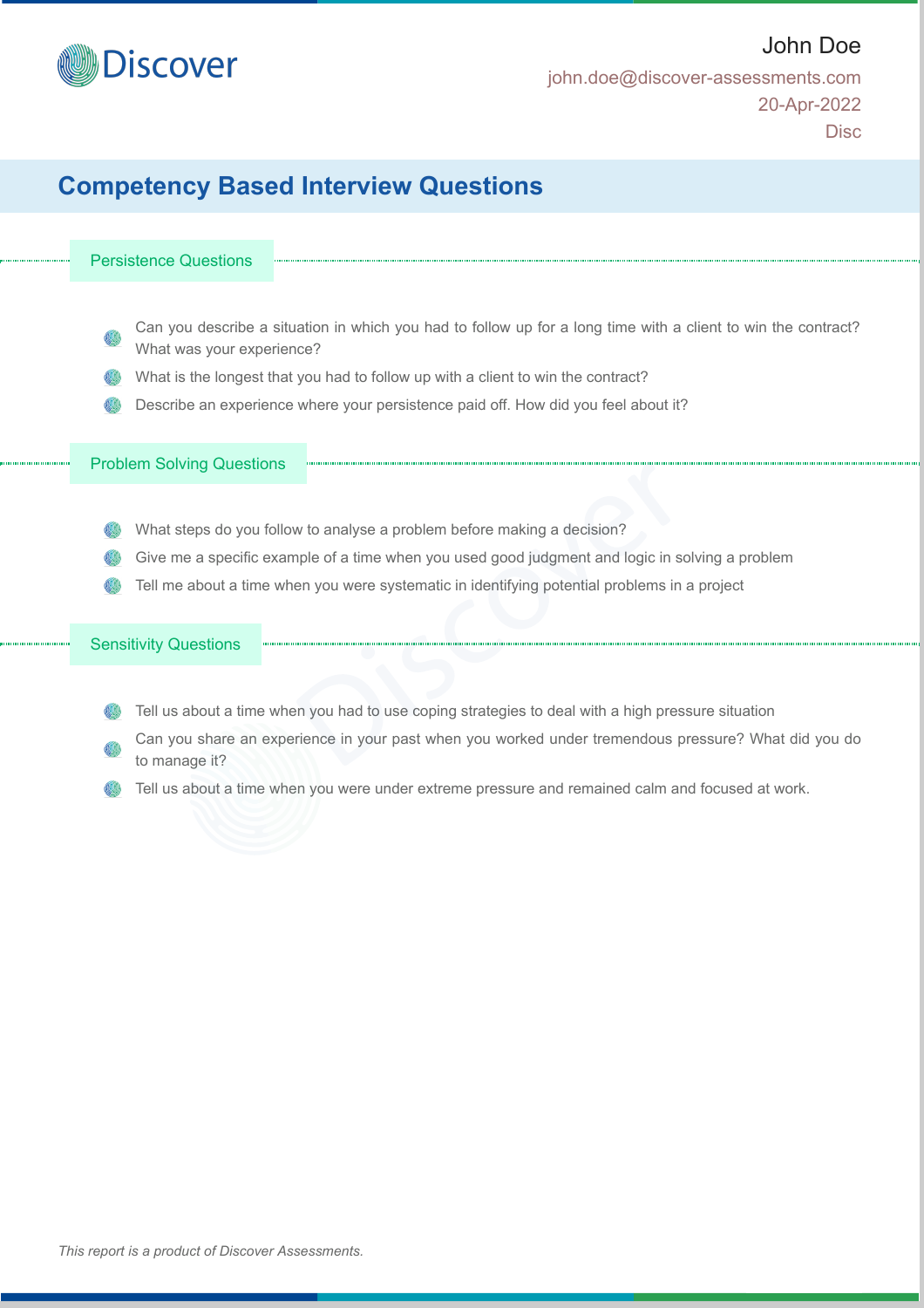

Disc

## **Competency Based Interview Questions**

#### Persistence Questions

- Can you describe a situation in which you had to follow up for a long time with a client to win the contract? What was your experience?
- What is the longest that you had to follow up with a client to win the contract?
- Describe an experience where your persistence paid off. How did you feel about it?

#### Problem Solving Questions

- What steps do you follow to analyse a problem before making a decision?
- Give me a specific example of a time when you used good judgment and logic in solving a problem
- Tell me about a time when you were systematic in identifying potential problems in a project

#### Sensitivity Questions

- Tell us about a time when you had to use coping strategies to deal with a high pressure situation
- Can you share an experience in your past when you worked under tremendous pressure? What did you do to manage it?
- Tell us about a time when you were under extreme pressure and remained calm and focused at work.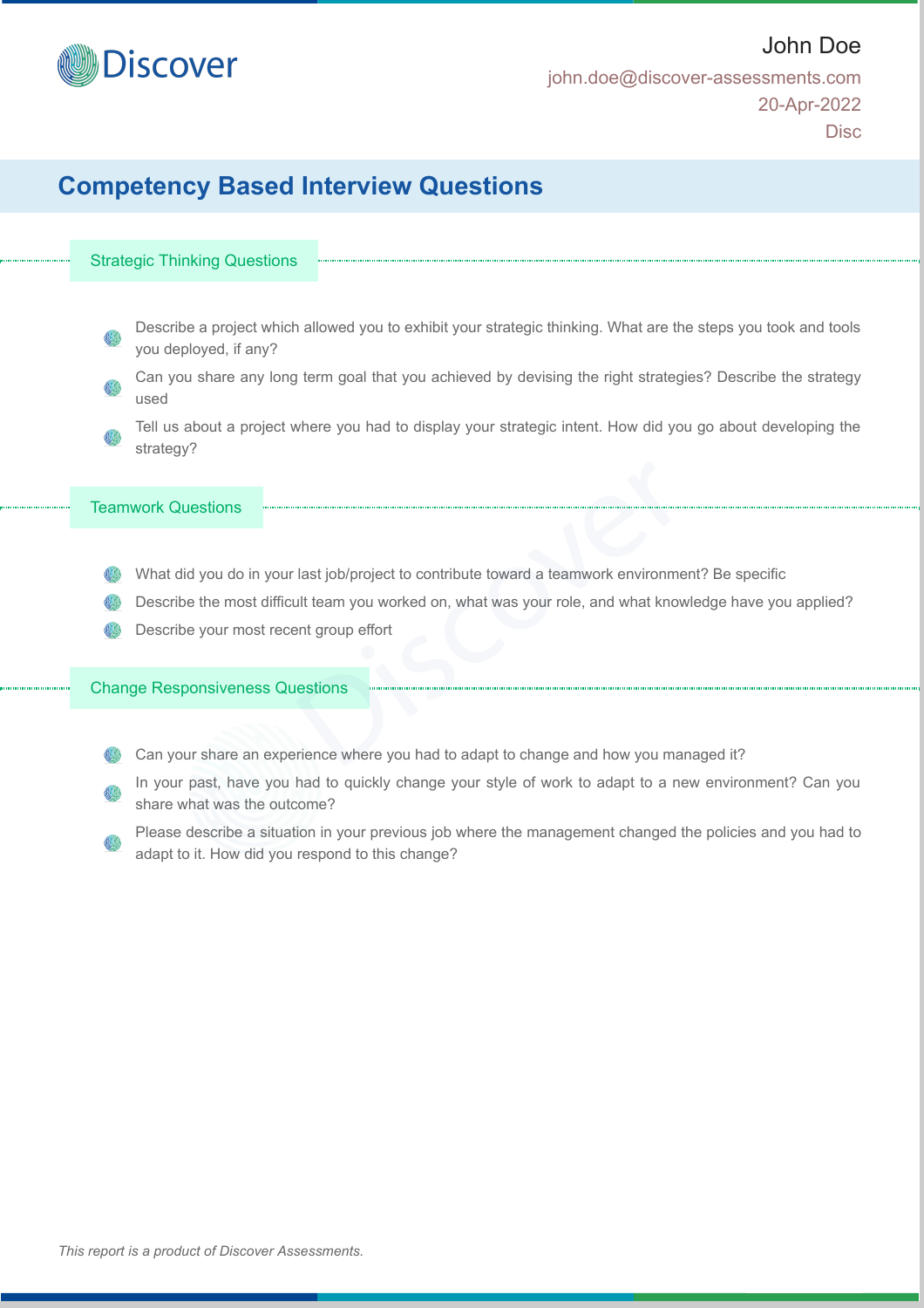

## **Competency Based Interview Questions**

#### Strategic Thinking Questions

- Describe a project which allowed you to exhibit your strategic thinking. What are the steps you took and tools you deployed, if any?
- Can you share any long term goal that you achieved by devising the right strategies? Describe the strategy used
- Tell us about a project where you had to display your strategic intent. How did you go about developing the strategy?

#### Teamwork Questions

- What did you do in your last job/project to contribute toward a teamwork environment? Be specific
- Describe the most difficult team you worked on, what was your role, and what knowledge have you applied?
- Describe your most recent group effort

#### Change Responsiveness Questions

- Can your share an experience where you had to adapt to change and how you managed it?
- In your past, have you had to quickly change your style of work to adapt to a new environment? Can you share what was the outcome?
- Please describe a situation in your previous job where the management changed the policies and you had to adapt to it. How did you respond to this change?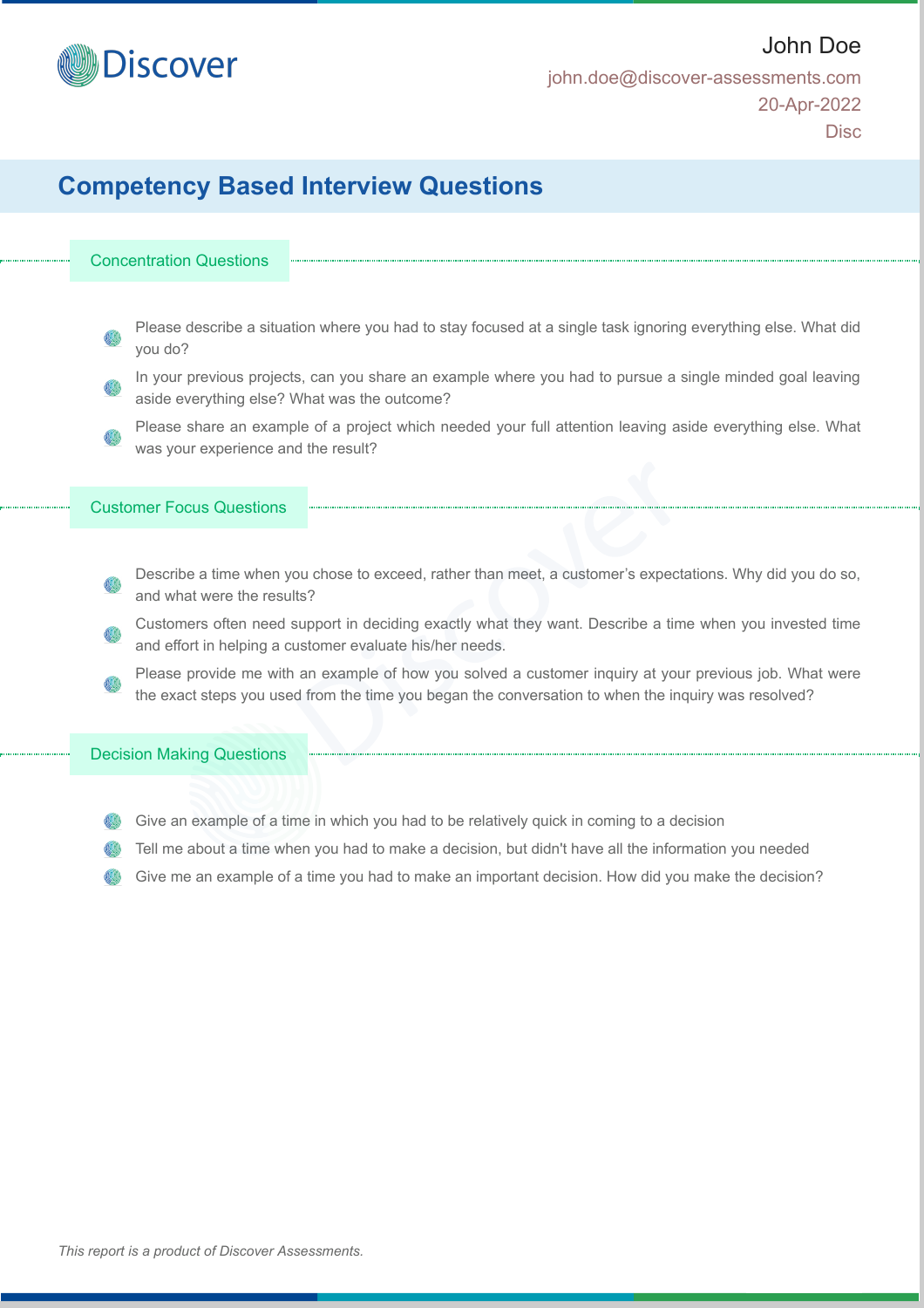

## **Competency Based Interview Questions**

#### Concentration Questions

- Please describe a situation where you had to stay focused at a single task ignoring everything else. What did you do?
- In your previous projects, can you share an example where you had to pursue a single minded goal leaving aside everything else? What was the outcome?
- Please share an example of a project which needed your full attention leaving aside everything else. What was your experience and the result?

#### Customer Focus Questions

- Describe a time when you chose to exceed, rather than meet, a customer's expectations. Why did you do so, and what were the results?
- Customers often need support in deciding exactly what they want. Describe a time when you invested time and effort in helping a customer evaluate his/her needs.
- Please provide me with an example of how you solved a customer inquiry at your previous job. What were the exact steps you used from the time you began the conversation to when the inquiry was resolved?

#### Decision Making Questions

- Give an example of a time in which you had to be relatively quick in coming to a decision
- Tell me about a time when you had to make a decision, but didn't have all the information you needed
- Give me an example of a time you had to make an important decision. How did you make the decision?